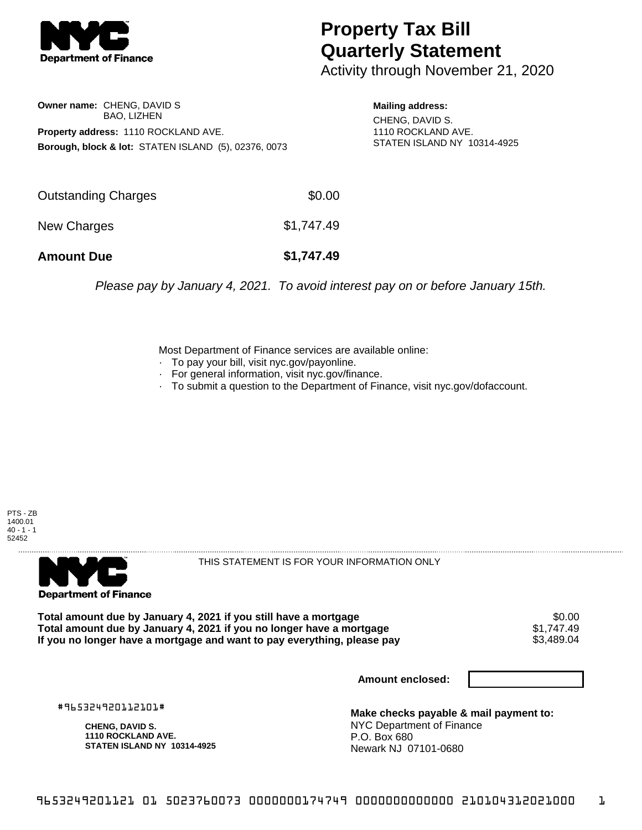

## **Property Tax Bill Quarterly Statement**

Activity through November 21, 2020

**Owner name:** CHENG, DAVID S BAO, LIZHEN **Property address:** 1110 ROCKLAND AVE. **Borough, block & lot:** STATEN ISLAND (5), 02376, 0073

**Mailing address:** CHENG, DAVID S. 1110 ROCKLAND AVE. STATEN ISLAND NY 10314-4925

| <b>Amount Due</b>   | \$1,747.49 |
|---------------------|------------|
| New Charges         | \$1,747.49 |
| Outstanding Charges | \$0.00     |

Please pay by January 4, 2021. To avoid interest pay on or before January 15th.

Most Department of Finance services are available online:

- · To pay your bill, visit nyc.gov/payonline.
- For general information, visit nyc.gov/finance.
- · To submit a question to the Department of Finance, visit nyc.gov/dofaccount.





THIS STATEMENT IS FOR YOUR INFORMATION ONLY

Total amount due by January 4, 2021 if you still have a mortgage \$0.00<br>Total amount due by January 4, 2021 if you no longer have a mortgage \$1.747.49 **Total amount due by January 4, 2021 if you no longer have a mortgage**  $$1,747.49$ **<br>If you no longer have a mortgage and want to pay everything, please pay <b>show that the summan set of the s** If you no longer have a mortgage and want to pay everything, please pay

**Amount enclosed:**

#965324920112101#

**CHENG, DAVID S. 1110 ROCKLAND AVE. STATEN ISLAND NY 10314-4925**

**Make checks payable & mail payment to:** NYC Department of Finance P.O. Box 680 Newark NJ 07101-0680